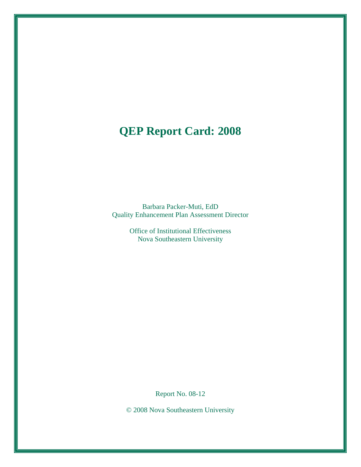# **QEP Report Card: 2008**

Barbara Packer-Muti, EdD Quality Enhancement Plan Assessment Director

> Office of Institutional Effectiveness Nova Southeastern University

> > Report No. 08-12

© 2008 Nova Southeastern University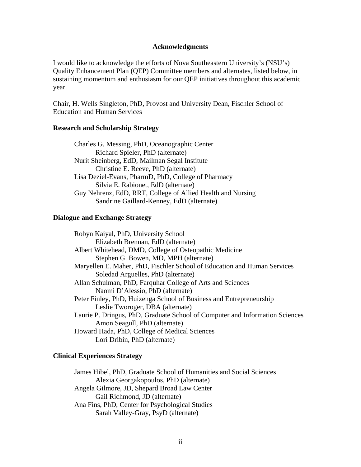#### **Acknowledgments**

I would like to acknowledge the efforts of Nova Southeastern University's (NSU's) Quality Enhancement Plan (QEP) Committee members and alternates, listed below, in sustaining momentum and enthusiasm for our QEP initiatives throughout this academic year.

Chair, H. Wells Singleton, PhD, Provost and University Dean, Fischler School of Education and Human Services

#### **Research and Scholarship Strategy**

 Charles G. Messing, PhD, Oceanographic Center Richard Spieler, PhD (alternate) Nurit Sheinberg, EdD, Mailman Segal Institute Christine E. Reeve, PhD (alternate) Lisa Deziel-Evans, PharmD, PhD, College of Pharmacy Silvia E. Rabionet, EdD (alternate) Guy Nehrenz, EdD, RRT, College of Allied Health and Nursing Sandrine Gaillard-Kenney, EdD (alternate)

#### **Dialogue and Exchange Strategy**

 Robyn Kaiyal, PhD, University School Elizabeth Brennan, EdD (alternate) Albert Whitehead, DMD, College of Osteopathic Medicine Stephen G. Bowen, MD, MPH (alternate) Maryellen E. Maher, PhD, Fischler School of Education and Human Services Soledad Arguelles, PhD (alternate) Allan Schulman, PhD, Farquhar College of Arts and Sciences Naomi D'Alessio, PhD (alternate) Peter Finley, PhD, Huizenga School of Business and Entrepreneurship Leslie Tworoger, DBA (alternate) Laurie P. Dringus, PhD, Graduate School of Computer and Information Sciences Amon Seagull, PhD (alternate) Howard Hada, PhD, College of Medical Sciences Lori Dribin, PhD (alternate)

#### **Clinical Experiences Strategy**

 James Hibel, PhD, Graduate School of Humanities and Social Sciences Alexia Georgakopoulos, PhD (alternate) Angela Gilmore, JD, Shepard Broad Law Center Gail Richmond, JD (alternate) Ana Fins, PhD, Center for Psychological Studies Sarah Valley-Gray, PsyD (alternate)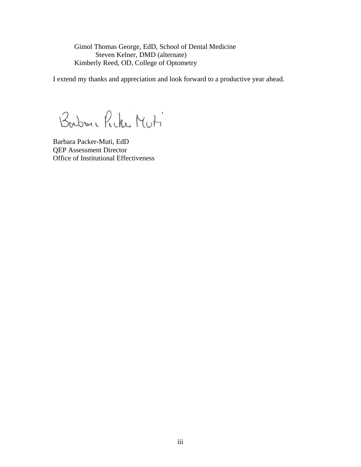Gimol Thomas George, EdD, School of Dental Medicine Steven Kelner, DMD (alternate) Kimberly Reed, OD, College of Optometry

I extend my thanks and appreciation and look forward to a productive year ahead.

Barbon e Picke Muti

Barbara Packer-Muti, EdD QEP Assessment Director Office of Institutional Effectiveness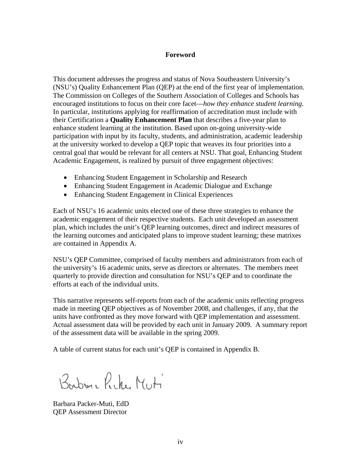#### **Foreword**

This document addresses the progress and status of Nova Southeastern University's (NSU's) Quality Enhancement Plan (QEP) at the end of the first year of implementation. The Commission on Colleges of the Southern Association of Colleges and Schools has encouraged institutions to focus on their core facet—*how they enhance student learning*. In particular, institutions applying for reaffirmation of accreditation must include with their Certification a **Quality Enhancement Plan** that describes a five-year plan to enhance student learning at the institution. Based upon on-going university-wide participation with input by its faculty, students, and administration, academic leadership at the university worked to develop a QEP topic that weaves its four priorities into a central goal that would be relevant for all centers at NSU. That goal, Enhancing Student Academic Engagement, is realized by pursuit of three engagement objectives:

- Enhancing Student Engagement in Scholarship and Research
- Enhancing Student Engagement in Academic Dialogue and Exchange
- Enhancing Student Engagement in Clinical Experiences

Each of NSU's 16 academic units elected one of these three strategies to enhance the academic engagement of their respective students. Each unit developed an assessment plan, which includes the unit's QEP learning outcomes, direct and indirect measures of the learning outcomes and anticipated plans to improve student learning; these matrixes are contained in Appendix A.

NSU's QEP Committee, comprised of faculty members and administrators from each of the university's 16 academic units, serve as directors or alternates. The members meet quarterly to provide direction and consultation for NSU's QEP and to coordinate the efforts at each of the individual units.

This narrative represents self-reports from each of the academic units reflecting progress made in meeting QEP objectives as of November 2008, and challenges, if any, that the units have confronted as they move forward with QEP implementation and assessment. Actual assessment data will be provided by each unit in January 2009. A summary report of the assessment data will be available in the spring 2009.

A table of current status for each unit's QEP is contained in Appendix B.

Borbon Rike Muti

Barbara Packer-Muti, EdD QEP Assessment Director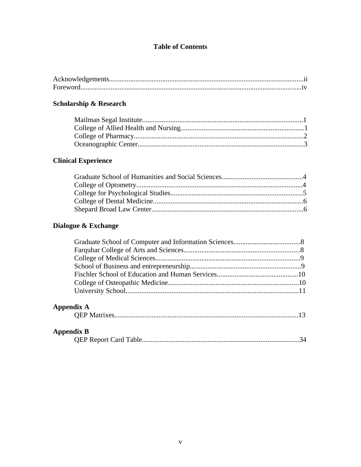# **Table of Contents**

# **Scholarship & Research**

# **Clinical Experience**

# Dialogue & Exchange

# Appendix A

|--|

# **Appendix B**

|--|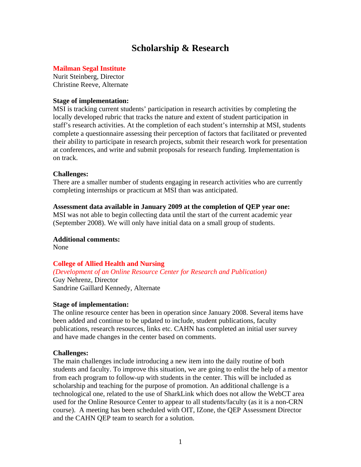# **Scholarship & Research**

#### **Mailman Segal Institute**

Nurit Steinberg, Director Christine Reeve, Alternate

#### **Stage of implementation:**

MSI is tracking current students' participation in research activities by completing the locally developed rubric that tracks the nature and extent of student participation in staff's research activities. At the completion of each student's internship at MSI, students complete a questionnaire assessing their perception of factors that facilitated or prevented their ability to participate in research projects, submit their research work for presentation at conferences, and write and submit proposals for research funding. Implementation is on track.

#### **Challenges:**

There are a smaller number of students engaging in research activities who are currently completing internships or practicum at MSI than was anticipated.

#### **Assessment data available in January 2009 at the completion of QEP year one:**

MSI was not able to begin collecting data until the start of the current academic year (September 2008). We will only have initial data on a small group of students.

#### **Additional comments:**

None

#### **College of Allied Health and Nursing**

*(Development of an Online Resource Center for Research and Publication)*  Guy Nehrenz, Director

Sandrine Gaillard Kennedy, Alternate

#### **Stage of implementation:**

The online resource center has been in operation since January 2008. Several items have been added and continue to be updated to include, student publications, faculty publications, research resources, links etc. CAHN has completed an initial user survey and have made changes in the center based on comments.

#### **Challenges:**

The main challenges include introducing a new item into the daily routine of both students and faculty. To improve this situation, we are going to enlist the help of a mentor from each program to follow-up with students in the center. This will be included as scholarship and teaching for the purpose of promotion. An additional challenge is a technological one, related to the use of SharkLink which does not allow the WebCT area used for the Online Resource Center to appear to all students/faculty (as it is a non-CRN course). A meeting has been scheduled with OIT, IZone, the QEP Assessment Director and the CAHN QEP team to search for a solution.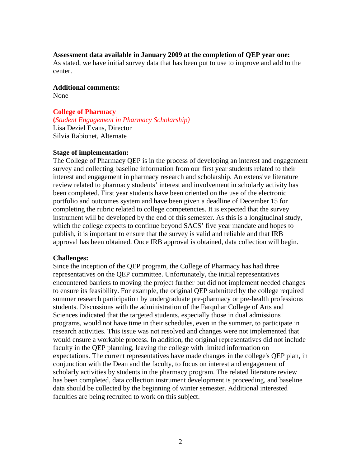#### **Assessment data available in January 2009 at the completion of QEP year one:**

As stated, we have initial survey data that has been put to use to improve and add to the center.

## **Additional comments:**

None

#### **College of Pharmacy**

**(***Student Engagement in Pharmacy Scholarship)* Lisa Deziel Evans, Director Silvia Rabionet, Alternate

#### **Stage of implementation:**

The College of Pharmacy QEP is in the process of developing an interest and engagement survey and collecting baseline information from our first year students related to their interest and engagement in pharmacy research and scholarship. An extensive literature review related to pharmacy students' interest and involvement in scholarly activity has been completed. First year students have been oriented on the use of the electronic portfolio and outcomes system and have been given a deadline of December 15 for completing the rubric related to college competencies. It is expected that the survey instrument will be developed by the end of this semester. As this is a longitudinal study, which the college expects to continue beyond SACS' five year mandate and hopes to publish, it is important to ensure that the survey is valid and reliable and that IRB approval has been obtained. Once IRB approval is obtained, data collection will begin.

#### **Challenges:**

Since the inception of the QEP program, the College of Pharmacy has had three representatives on the QEP committee. Unfortunately, the initial representatives encountered barriers to moving the project further but did not implement needed changes to ensure its feasibility. For example, the original QEP submitted by the college required summer research participation by undergraduate pre-pharmacy or pre-health professions students. Discussions with the administration of the Farquhar College of Arts and Sciences indicated that the targeted students, especially those in dual admissions programs, would not have time in their schedules, even in the summer, to participate in research activities. This issue was not resolved and changes were not implemented that would ensure a workable process. In addition, the original representatives did not include faculty in the QEP planning, leaving the college with limited information on expectations. The current representatives have made changes in the college's QEP plan, in conjunction with the Dean and the faculty, to focus on interest and engagement of scholarly activities by students in the pharmacy program. The related literature review has been completed, data collection instrument development is proceeding, and baseline data should be collected by the beginning of winter semester. Additional interested faculties are being recruited to work on this subject.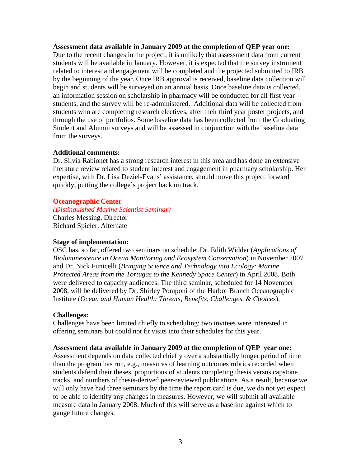#### **Assessment data available in January 2009 at the completion of QEP year one:**

Due to the recent changes in the project, it is unlikely that assessment data from current students will be available in January. However, it is expected that the survey instrument related to interest and engagement will be completed and the projected submitted to IRB by the beginning of the year. Once IRB approval is received, baseline data collection will begin and students will be surveyed on an annual basis. Once baseline data is collected, an information session on scholarship in pharmacy will be conducted for all first year students, and the survey will be re-administered. Additional data will be collected from students who are completing research electives, after their third year poster projects, and through the use of portfolios. Some baseline data has been collected from the Graduating Student and Alumni surveys and will be assessed in conjunction with the baseline data from the surveys.

#### **Additional comments:**

Dr. Silvia Rabionet has a strong research interest in this area and has done an extensive literature review related to student interest and engagement in pharmacy scholarship. Her expertise, with Dr. Lisa Deziel-Evans' assistance, should move this project forward quickly, putting the college's project back on track.

#### **Oceanographic Center**

*(Distinguished Marine Scientist Seminar)* Charles Messing, Director Richard Spieler, Alternate

#### **Stage of implementation:**

OSC has, so far, offered two seminars on schedule: Dr. Edith Widder (*Applications of Bioluminescence in Ocean Monitoring and Ecosystem Conservation*) in November 2007 and Dr. Nick Funicelli (*Bringing Science and Technology into Ecology: Marine Protected Areas from the Tortugas to the Kennedy Space Center*) in April 2008. Both were delivered to capacity audiences. The third seminar, scheduled for 14 November 2008, will be delivered by Dr. Shirley Pomponi of the Harbor Branch Oceanographic Institute (*Ocean and Human Health: Threats, Benefits, Challenges, & Choices*).

#### **Challenges:**

Challenges have been limited chiefly to scheduling: two invitees were interested in offering seminars but could not fit visits into their schedules for this year.

#### **Assessment data available in January 2009 at the completion of QEP year one:**

Assessment depends on data collected chiefly over a substantially longer period of time than the program has run, e.g., measures of learning outcomes rubrics recorded when students defend their theses, proportions of students completing thesis versus capstone tracks, and numbers of thesis-derived peer-reviewed publications. As a result, because we will only have had three seminars by the time the report card is due, we do not yet expect to be able to identify any changes in measures. However, we will submit all available measure data in January 2008. Much of this will serve as a baseline against which to gauge future changes.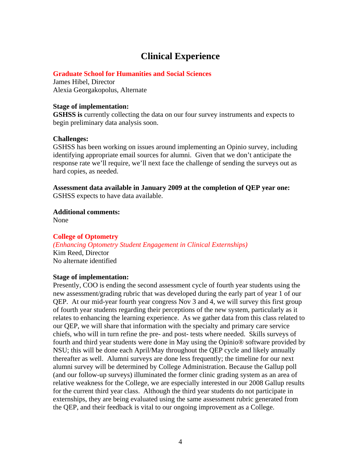# **Clinical Experience**

#### **Graduate School for Humanities and Social Sciences**

James Hibel, Director Alexia Georgakopolus, Alternate

#### **Stage of implementation:**

**GSHSS is** currently collecting the data on our four survey instruments and expects to begin preliminary data analysis soon.

#### **Challenges:**

GSHSS has been working on issues around implementing an Opinio survey, including identifying appropriate email sources for alumni. Given that we don't anticipate the response rate we'll require, we'll next face the challenge of sending the surveys out as hard copies, as needed.

**Assessment data available in January 2009 at the completion of QEP year one:**  GSHSS expects to have data available.

**Additional comments:**  None

#### **College of Optometry**

*(Enhancing Optometry Student Engagement in Clinical Externships)*  Kim Reed, Director No alternate identified

#### **Stage of implementation:**

Presently, COO is ending the second assessment cycle of fourth year students using the new assessment/grading rubric that was developed during the early part of year 1 of our QEP. At our mid-year fourth year congress Nov 3 and 4, we will survey this first group of fourth year students regarding their perceptions of the new system, particularly as it relates to enhancing the learning experience. As we gather data from this class related to our QEP, we will share that information with the specialty and primary care service chiefs, who will in turn refine the pre- and post- tests where needed. Skills surveys of fourth and third year students were done in May using the Opinio® software provided by NSU; this will be done each April/May throughout the QEP cycle and likely annually thereafter as well. Alumni surveys are done less frequently; the timeline for our next alumni survey will be determined by College Administration. Because the Gallup poll (and our follow-up surveys) illuminated the former clinic grading system as an area of relative weakness for the College, we are especially interested in our 2008 Gallup results for the current third year class. Although the third year students do not participate in externships, they are being evaluated using the same assessment rubric generated from the QEP, and their feedback is vital to our ongoing improvement as a College.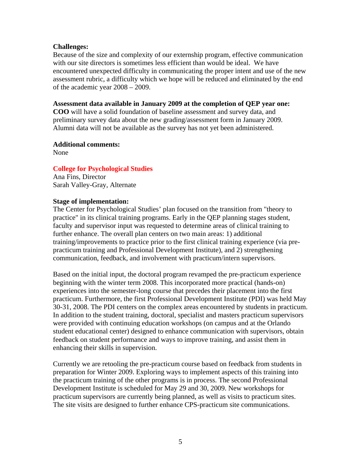#### **Challenges:**

Because of the size and complexity of our externship program, effective communication with our site directors is sometimes less efficient than would be ideal. We have encountered unexpected difficulty in communicating the proper intent and use of the new assessment rubric, a difficulty which we hope will be reduced and eliminated by the end of the academic year 2008 – 2009.

#### **Assessment data available in January 2009 at the completion of QEP year one:**

**COO** will have a solid foundation of baseline assessment and survey data, and preliminary survey data about the new grading/assessment form in January 2009. Alumni data will not be available as the survey has not yet been administered.

#### **Additional comments:**

None

#### **College for Psychological Studies**

Ana Fins, Director Sarah Valley-Gray, Alternate

#### **Stage of implementation:**

The Center for Psychological Studies' plan focused on the transition from "theory to practice" in its clinical training programs. Early in the QEP planning stages student, faculty and supervisor input was requested to determine areas of clinical training to further enhance. The overall plan centers on two main areas: 1) additional training/improvements to practice prior to the first clinical training experience (via prepracticum training and Professional Development Institute), and 2) strengthening communication, feedback, and involvement with practicum/intern supervisors.

Based on the initial input, the doctoral program revamped the pre-practicum experience beginning with the winter term 2008. This incorporated more practical (hands-on) experiences into the semester-long course that precedes their placement into the first practicum. Furthermore, the first Professional Development Institute (PDI) was held May 30-31, 2008. The PDI centers on the complex areas encountered by students in practicum. In addition to the student training, doctoral, specialist and masters practicum supervisors were provided with continuing education workshops (on campus and at the Orlando student educational center) designed to enhance communication with supervisors, obtain feedback on student performance and ways to improve training, and assist them in enhancing their skills in supervision.

Currently we are retooling the pre-practicum course based on feedback from students in preparation for Winter 2009. Exploring ways to implement aspects of this training into the practicum training of the other programs is in process. The second Professional Development Institute is scheduled for May 29 and 30, 2009. New workshops for practicum supervisors are currently being planned, as well as visits to practicum sites. The site visits are designed to further enhance CPS-practicum site communications.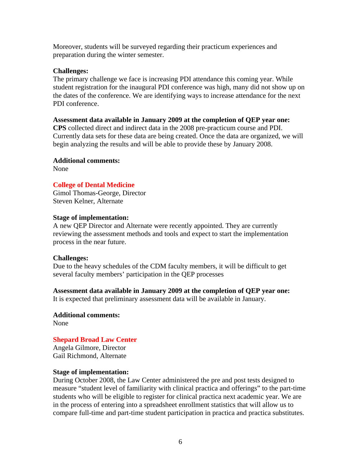Moreover, students will be surveyed regarding their practicum experiences and preparation during the winter semester.

#### **Challenges:**

The primary challenge we face is increasing PDI attendance this coming year. While student registration for the inaugural PDI conference was high, many did not show up on the dates of the conference. We are identifying ways to increase attendance for the next PDI conference.

#### **Assessment data available in January 2009 at the completion of QEP year one:**

**CPS** collected direct and indirect data in the 2008 pre-practicum course and PDI. Currently data sets for these data are being created. Once the data are organized, we will begin analyzing the results and will be able to provide these by January 2008.

#### **Additional comments:**

None

#### **College of Dental Medicine**

Gimol Thomas-George, Director Steven Kelner, Alternate

#### **Stage of implementation:**

A new QEP Director and Alternate were recently appointed. They are currently reviewing the assessment methods and tools and expect to start the implementation process in the near future.

#### **Challenges:**

Due to the heavy schedules of the CDM faculty members, it will be difficult to get several faculty members' participation in the QEP processes

#### **Assessment data available in January 2009 at the completion of QEP year one:**

It is expected that preliminary assessment data will be available in January.

**Additional comments:**  None

## **Shepard Broad Law Center**

Angela Gilmore, Director Gail Richmond, Alternate

#### **Stage of implementation:**

During October 2008, the Law Center administered the pre and post tests designed to measure "student level of familiarity with clinical practica and offerings" to the part-time students who will be eligible to register for clinical practica next academic year. We are in the process of entering into a spreadsheet enrollment statistics that will allow us to compare full-time and part-time student participation in practica and practica substitutes.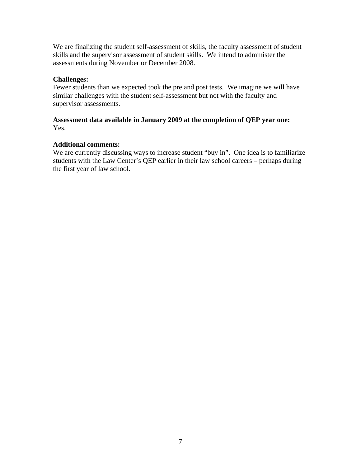We are finalizing the student self-assessment of skills, the faculty assessment of student skills and the supervisor assessment of student skills. We intend to administer the assessments during November or December 2008.

#### **Challenges:**

Fewer students than we expected took the pre and post tests. We imagine we will have similar challenges with the student self-assessment but not with the faculty and supervisor assessments.

#### **Assessment data available in January 2009 at the completion of QEP year one:**  Yes.

#### **Additional comments:**

We are currently discussing ways to increase student "buy in". One idea is to familiarize students with the Law Center's QEP earlier in their law school careers – perhaps during the first year of law school.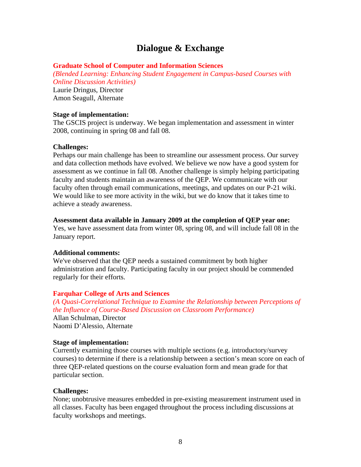# **Dialogue & Exchange**

#### **Graduate School of Computer and Information Sciences**

*(Blended Learning: Enhancing Student Engagement in Campus-based Courses with Online Discussion Activities)* 

Laurie Dringus, Director Amon Seagull, Alternate

#### **Stage of implementation:**

The GSCIS project is underway. We began implementation and assessment in winter 2008, continuing in spring 08 and fall 08.

#### **Challenges:**

Perhaps our main challenge has been to streamline our assessment process. Our survey and data collection methods have evolved. We believe we now have a good system for assessment as we continue in fall 08. Another challenge is simply helping participating faculty and students maintain an awareness of the QEP. We communicate with our faculty often through email communications, meetings, and updates on our P-21 wiki. We would like to see more activity in the wiki, but we do know that it takes time to achieve a steady awareness.

#### **Assessment data available in January 2009 at the completion of QEP year one:**

Yes, we have assessment data from winter 08, spring 08, and will include fall 08 in the January report.

#### **Additional comments:**

We've observed that the QEP needs a sustained commitment by both higher administration and faculty. Participating faculty in our project should be commended regularly for their efforts.

#### **Farquhar College of Arts and Sciences**

*(A Quasi-Correlational Technique to Examine the Relationship between Perceptions of the Influence of Course-Based Discussion on Classroom Performance)*  Allan Schulman, Director Naomi D'Alessio, Alternate

#### **Stage of implementation:**

Currently examining those courses with multiple sections (e.g. introductory/survey courses) to determine if there is a relationship between a section's mean score on each of three QEP-related questions on the course evaluation form and mean grade for that particular section.

#### **Challenges:**

None; unobtrusive measures embedded in pre-existing measurement instrument used in all classes. Faculty has been engaged throughout the process including discussions at faculty workshops and meetings.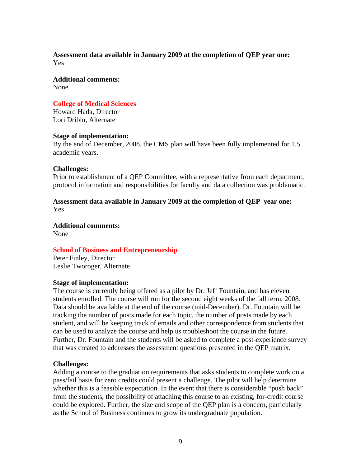#### **Assessment data available in January 2009 at the completion of QEP year one:**  Yes

**Additional comments:**  None

**College of Medical Sciences**  Howard Hada, Director

Lori Dribin, Alternate

#### **Stage of implementation:**

By the end of December, 2008, the CMS plan will have been fully implemented for 1.5 academic years.

#### **Challenges:**

Prior to establishment of a QEP Committee, with a representative from each department, protocol information and responsibilities for faculty and data collection was problematic.

#### **Assessment data available in January 2009 at the completion of QEP year one:**  Yes

**Additional comments:**  None

#### **School of Business and Entrepreneurship**

Peter Finley, Director Leslie Tworoger, Alternate

#### **Stage of implementation:**

The course is currently being offered as a pilot by Dr. Jeff Fountain, and has eleven students enrolled. The course will run for the second eight weeks of the fall term, 2008. Data should be available at the end of the course (mid-December). Dr. Fountain will be tracking the number of posts made for each topic, the number of posts made by each student, and will be keeping track of emails and other correspondence from students that can be used to analyze the course and help us troubleshoot the course in the future. Further, Dr. Fountain and the students will be asked to complete a post-experience survey that was created to addresses the assessment questions presented in the QEP matrix.

#### **Challenges:**

Adding a course to the graduation requirements that asks students to complete work on a pass/fail basis for zero credits could present a challenge. The pilot will help determine whether this is a feasible expectation. In the event that there is considerable "push back" from the students, the possibility of attaching this course to an existing, for-credit course could be explored. Further, the size and scope of the QEP plan is a concern, particularly as the School of Business continues to grow its undergraduate population.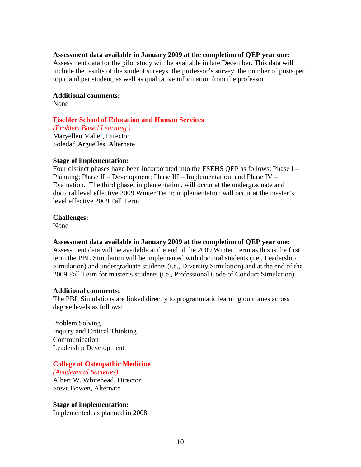#### **Assessment data available in January 2009 at the completion of QEP year one:**

Assessment data for the pilot study will be available in late December. This data will include the results of the student surveys, the professor's survey, the number of posts per topic and per student, as well as qualitative information from the professor.

#### **Additional comments:**

None

#### **Fischler School of Education and Human Services**

*(Problem Based Learning )*  Maryellen Maher, Director Soledad Arguelles, Alternate

#### **Stage of implementation:**

Four distinct phases have been incorporated into the FSEHS QEP as follows: Phase I – Planning; Phase II – Development; Phase III – Implementation; and Phase IV – Evaluation. The third phase, implementation, will occur at the undergraduate and doctoral level effective 2009 Winter Term; implementation will occur at the master's level effective 2009 Fall Term.

#### **Challenges:**

None

#### **Assessment data available in January 2009 at the completion of QEP year one:**

Assessment data will be available at the end of the 2009 Winter Term as this is the first term the PBL Simulation will be implemented with doctoral students (i.e., Leadership Simulation) and undergraduate students (i.e., Diversity Simulation) and at the end of the 2009 Fall Term for master's students (i.e., Professional Code of Conduct Simulation).

#### **Additional comments:**

The PBL Simulations are linked directly to programmatic learning outcomes across degree levels as follows:

Problem Solving Inquiry and Critical Thinking Communication Leadership Development

#### **College of Osteopathic Medicine**

*(Academical Societies)*  Albert W. Whitehead, Director Steve Bowen, Alternate

#### **Stage of implementation:**

Implemented, as planned in 2008.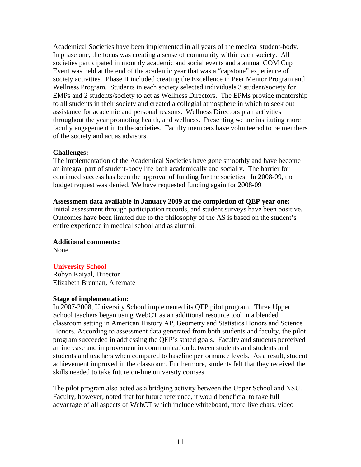Academical Societies have been implemented in all years of the medical student-body. In phase one, the focus was creating a sense of community within each society. All societies participated in monthly academic and social events and a annual COM Cup Event was held at the end of the academic year that was a "capstone" experience of society activities. Phase II included creating the Excellence in Peer Mentor Program and Wellness Program. Students in each society selected individuals 3 student/society for EMPs and 2 students/society to act as Wellness Directors. The EPMs provide mentorship to all students in their society and created a collegial atmosphere in which to seek out assistance for academic and personal reasons. Wellness Directors plan activities throughout the year promoting health, and wellness. Presenting we are instituting more faculty engagement in to the societies. Faculty members have volunteered to be members of the society and act as advisors.

#### **Challenges:**

The implementation of the Academical Societies have gone smoothly and have become an integral part of student-body life both academically and socially. The barrier for continued success has been the approval of funding for the societies. In 2008-09, the budget request was denied. We have requested funding again for 2008-09

#### **Assessment data available in January 2009 at the completion of QEP year one:**

Initial assessment through participation records, and student surveys have been positive. Outcomes have been limited due to the philosophy of the AS is based on the student's entire experience in medical school and as alumni.

#### **Additional comments:**

None

#### **University School**

Robyn Kaiyal, Director Elizabeth Brennan, Alternate

#### **Stage of implementation:**

In 2007-2008, University School implemented its QEP pilot program. Three Upper School teachers began using WebCT as an additional resource tool in a blended classroom setting in American History AP, Geometry and Statistics Honors and Science Honors. According to assessment data generated from both students and faculty, the pilot program succeeded in addressing the QEP's stated goals. Faculty and students perceived an increase and improvement in communication between students and students and students and teachers when compared to baseline performance levels. As a result, student achievement improved in the classroom. Furthermore, students felt that they received the skills needed to take future on-line university courses.

The pilot program also acted as a bridging activity between the Upper School and NSU. Faculty, however, noted that for future reference, it would beneficial to take full advantage of all aspects of WebCT which include whiteboard, more live chats, video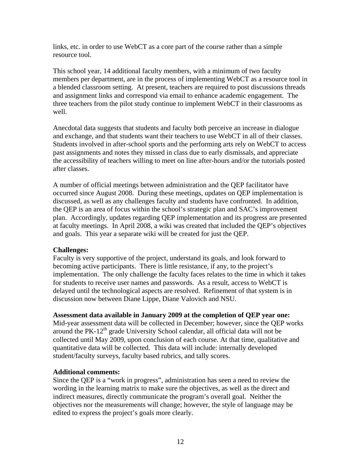links, etc. in order to use WebCT as a core part of the course rather than a simple resource tool.

This school year, 14 additional faculty members, with a minimum of two faculty members per department, are in the process of implementing WebCT as a resource tool in a blended classroom setting. At present, teachers are required to post discussions threads and assignment links and correspond via email to enhance academic engagement. The three teachers from the pilot study continue to implement WebCT in their classrooms as well.

Anecdotal data suggests that students and faculty both perceive an increase in dialogue and exchange, and that students want their teachers to use WebCT in all of their classes. Students involved in after-school sports and the performing arts rely on WebCT to access past assignments and notes they missed in class due to early dismissals, and appreciate the accessibility of teachers willing to meet on line after-hours and/or the tutorials posted after classes.

A number of official meetings between administration and the QEP facilitator have occurred since August 2008. During these meetings, updates on QEP implementation is discussed, as well as any challenges faculty and students have confronted. In addition, the QEP is an area of focus within the school's strategic plan and SAC's improvement plan. Accordingly, updates regarding QEP implementation and its progress are presented at faculty meetings. In April 2008, a wiki was created that included the QEP's objectives and goals. This year a separate wiki will be created for just the QEP.

#### **Challenges:**

Faculty is very supportive of the project, understand its goals, and look forward to becoming active participants. There is little resistance, if any, to the project's implementation. The only challenge the faculty faces relates to the time in which it takes for students to receive user names and passwords. As a result, access to WebCT is delayed until the technological aspects are resolved. Refinement of that system is in discussion now between Diane Lippe, Diane Valovich and NSU.

#### **Assessment data available in January 2009 at the completion of QEP year one:**

Mid-year assessment data will be collected in December; however, since the QEP works around the  $PK-12<sup>th</sup>$  grade University School calendar, all official data will not be collected until May 2009, upon conclusion of each course. At that time, qualitative and quantitative data will be collected. This data will include: internally developed student/faculty surveys, faculty based rubrics, and tally scores.

#### **Additional comments:**

Since the QEP is a "work in progress", administration has seen a need to review the wording in the learning matrix to make sure the objectives, as well as the direct and indirect measures, directly communicate the program's overall goal. Neither the objectives nor the measurements will change; however, the style of language may be edited to express the project's goals more clearly.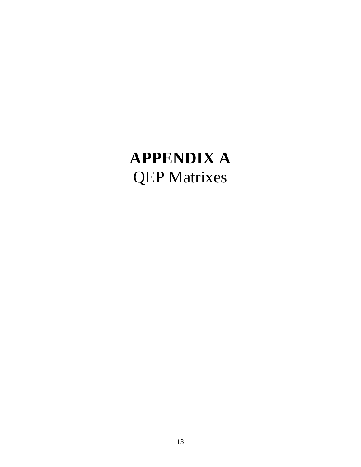# **APPENDIX A**  QEP Matrixes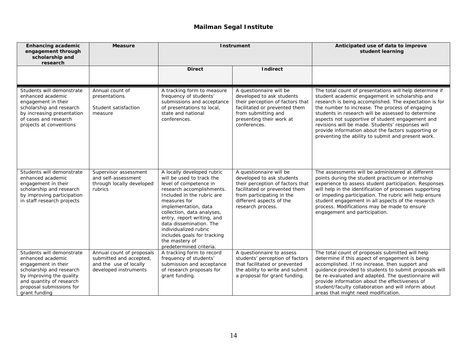## **Mailman Segal Institute**

| <b>Enhancing academic</b><br>engagement through<br>scholarship and<br>research                                                                                                                         | <b>Measure</b>                                                                                          | <b>Instrument</b>                                                                                                                                                                                                                                                                                                                                                                |                                                                                                                                                                                                         | Anticipated use of data to improve<br>student learning                                                                                                                                                                                                                                                                                                                                                                                                                                            |
|--------------------------------------------------------------------------------------------------------------------------------------------------------------------------------------------------------|---------------------------------------------------------------------------------------------------------|----------------------------------------------------------------------------------------------------------------------------------------------------------------------------------------------------------------------------------------------------------------------------------------------------------------------------------------------------------------------------------|---------------------------------------------------------------------------------------------------------------------------------------------------------------------------------------------------------|---------------------------------------------------------------------------------------------------------------------------------------------------------------------------------------------------------------------------------------------------------------------------------------------------------------------------------------------------------------------------------------------------------------------------------------------------------------------------------------------------|
|                                                                                                                                                                                                        |                                                                                                         | <b>Direct</b>                                                                                                                                                                                                                                                                                                                                                                    | <b>Indirect</b>                                                                                                                                                                                         |                                                                                                                                                                                                                                                                                                                                                                                                                                                                                                   |
| Students will demonstrate<br>enhanced academic<br>engagement in their<br>scholarship and research<br>by increasing presentation<br>of cases and research<br>projects at conventions                    | Annual count of<br>presentations.<br>Student satisfaction<br>measure                                    | A tracking form to measure<br>frequency of students'<br>submissions and acceptance<br>of presentations to local,<br>state and national<br>conferences.                                                                                                                                                                                                                           | A questionnaire will be<br>developed to ask students<br>their perception of factors that<br>facilitated or prevented them<br>from submitting and<br>presenting their work at<br>conferences.            | The total count of presentations will help determine if<br>student academic engagement in scholarship and<br>research is being accomplished. The expectation is for<br>the number to increase. The process of engaging<br>students in research will be assessed to determine<br>aspects not supportive of student engagement and<br>revisions will be made. Students' responses will<br>provide information about the factors supporting or<br>preventing the ability to submit and present work. |
| Students will demonstrate<br>enhanced academic<br>engagement in their<br>scholarship and research<br>by improving participation<br>in staff research projects                                          | Supervisor assessment<br>and self-assessment<br>through locally developed<br>rubrics                    | A locally developed rubric<br>will be used to track the<br>level of competence in<br>research accomplishments.<br>Included in the rubric are<br>measures for<br>implementation, data<br>collection, data analyses,<br>entry, report writing, and<br>data dissemination. The<br>individualized rubric<br>includes goals for tracking<br>the mastery of<br>predetermined criteria. | A questionnaire will be<br>developed to ask students<br>their perception of factors that<br>facilitated or prevented them<br>from participating in the<br>different aspects of the<br>research process. | The assessments will be administered at different<br>points during the student practicum or internship<br>experience to assess student participation. Responses<br>will help in the identification of processes supporting<br>or impeding participation. The rubric will help ensure<br>student engagement in all aspects of the research<br>process. Modifications may be made to ensure<br>engagement and participation.                                                                        |
| Students will demonstrate<br>enhanced academic<br>engagement in their<br>scholarship and research<br>by improving the quality<br>and quantity of research<br>proposal submissions for<br>grant funding | Annual count of proposals<br>submitted and accepted,<br>and the use of locally<br>developed instruments | A tracking form to record<br>frequency of students'<br>submission and acceptance<br>of research proposals for<br>grant funding.                                                                                                                                                                                                                                                  | A questionnaire to assess<br>students' perception of factors<br>that facilitated or prevented<br>the ability to write and submit<br>a proposal for grant funding.                                       | The total count of proposals submitted will help<br>determine if this aspect of engagement is being<br>accomplished. If no increase, then support and<br>guidance provided to students to submit proposals will<br>be re-evaluated and adapted. The questionnaire will<br>provide information about the effectiveness of<br>student/faculty collaboration and will inform about<br>areas that might need modification.                                                                            |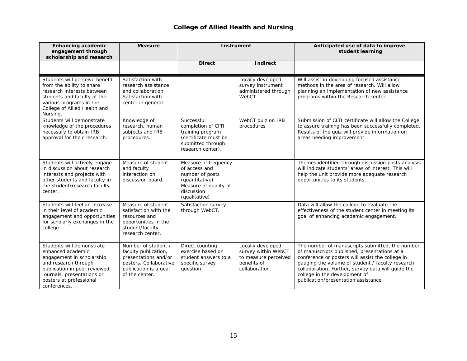#### **College of Allied Health and Nursing**

| <b>Enhancing academic</b><br>engagement through<br>scholarship and research                                                                                                                                  | <b>Measure</b>                                                                                                                           | <b>Instrument</b>                                                                                                                  |                                                                                                   | Anticipated use of data to improve<br>student learning                                                                                                                                                                                                                                                                                 |
|--------------------------------------------------------------------------------------------------------------------------------------------------------------------------------------------------------------|------------------------------------------------------------------------------------------------------------------------------------------|------------------------------------------------------------------------------------------------------------------------------------|---------------------------------------------------------------------------------------------------|----------------------------------------------------------------------------------------------------------------------------------------------------------------------------------------------------------------------------------------------------------------------------------------------------------------------------------------|
|                                                                                                                                                                                                              |                                                                                                                                          | <b>Direct</b>                                                                                                                      | <b>Indirect</b>                                                                                   |                                                                                                                                                                                                                                                                                                                                        |
| Students will perceive benefit<br>from the ability to share<br>research interests between<br>students and faculty of the<br>various programs in the<br>College of Allied Health and<br>Nursing.              | Satisfaction with<br>research assistance<br>and collaboration.<br>Satisfaction with<br>center in general.                                |                                                                                                                                    | Locally developed<br>survey instrument<br>administered through<br>WebCT.                          | Will assist in developing focused assistance<br>methods in the area of research. Will allow<br>planning an implementation of new assistance<br>programs within the Research center.                                                                                                                                                    |
| Students will demonstrate<br>knowledge of the procedures<br>necessary to obtain IRB<br>approval for their research.                                                                                          | Knowledge of<br>research, human<br>subjects and IRB<br>procedures.                                                                       | Successful<br>completion of CITI<br>training program<br>(certificate must be<br>submitted through<br>research center).             | WebCT quiz on IRB<br>procedures                                                                   | Submission of CITI certificate will allow the College<br>to assure training has been successfully completed.<br>Results of the quiz will provide information on<br>areas needing improvement.                                                                                                                                          |
| Students will actively engage<br>in discussion about research<br>interests and projects with<br>other students and faculty in<br>the student/research faculty<br>center.                                     | Measure of student<br>and faculty<br>interaction on<br>discussion board.                                                                 | Measure of frequency<br>of access and<br>number of posts<br>(quantitative)<br>Measure of quality of<br>discussion<br>(qualitative) |                                                                                                   | Themes identified through discussion posts analysis<br>will indicate students' areas of interest. This will<br>help the unit provide more adequate research<br>opportunities to its students.                                                                                                                                          |
| Students will feel an increase<br>in their level of academic<br>engagement and opportunities<br>for scholarly exchanges in the<br>college.                                                                   | Measure of student<br>satisfaction with the<br>resources and<br>opportunities in the<br>student/faculty<br>research center.              | Satisfaction survey<br>through WebCT.                                                                                              |                                                                                                   | Data will allow the college to evaluate the<br>effectiveness of the student center in meeting its<br>goal of enhancing academic engagement.                                                                                                                                                                                            |
| Students will demonstrate<br>enhanced academic<br>engagement in scholarship<br>and research through<br>publication in peer reviewed<br>journals, presentations or<br>posters at professional<br>conferences. | Number of student /<br>faculty publication,<br>presentations and/or<br>posters. Collaborative<br>publication is a goal<br>of the center. | Direct counting<br>exercise based on<br>student answers to a<br>specific survey<br>question.                                       | Locally developed<br>survey within WebCT<br>to measure perceived<br>benefits of<br>collaboration. | The number of manuscripts submitted, the number<br>of manuscripts published, presentations at a<br>conference or posters will assist the college in<br>gauging the volume of student / faculty research<br>collaboration. Further, survey data will guide the<br>college in the development of<br>publication/presentation assistance. |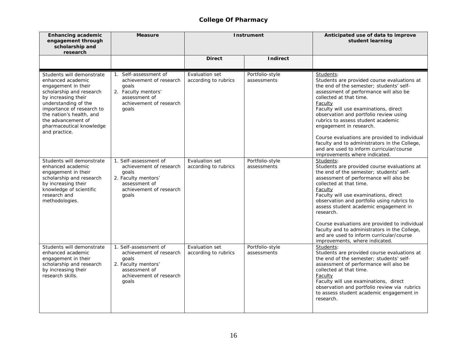## **College Of Pharmacy**

| <b>Enhancing academic</b><br>engagement through<br>scholarship and<br>research                                                                                                                                                                                               | <b>Measure</b>                                                                                                                        | <b>Instrument</b>                      |                                | Anticipated use of data to improve<br>student learning                                                                                                                                                                                                                                                                                                                                                                                                                                                                  |
|------------------------------------------------------------------------------------------------------------------------------------------------------------------------------------------------------------------------------------------------------------------------------|---------------------------------------------------------------------------------------------------------------------------------------|----------------------------------------|--------------------------------|-------------------------------------------------------------------------------------------------------------------------------------------------------------------------------------------------------------------------------------------------------------------------------------------------------------------------------------------------------------------------------------------------------------------------------------------------------------------------------------------------------------------------|
|                                                                                                                                                                                                                                                                              |                                                                                                                                       | <b>Direct</b>                          | <b>Indirect</b>                |                                                                                                                                                                                                                                                                                                                                                                                                                                                                                                                         |
| Students will demonstrate<br>enhanced academic<br>engagement in their<br>scholarship and research<br>by increasing their<br>understanding of the<br>importance of research to<br>the nation's health, and<br>the advancement of<br>pharmaceutical knowledge<br>and practice. | 1. Self-assessment of<br>achievement of research<br>goals<br>2. Faculty mentors'<br>assessment of<br>achievement of research<br>goals | Evaluation set<br>according to rubrics | Portfolio-style<br>assessments | Students:<br>Students are provided course evaluations at<br>the end of the semester; students' self-<br>assessment of performance will also be<br>collected at that time.<br>Faculty<br>Faculty will use examinations, direct<br>observation and portfolio review using<br>rubrics to assess student academic<br>engagement in research.<br>Course evaluations are provided to individual<br>faculty and to administrators in the College,<br>and are used to inform curricular/course<br>improvements where indicated. |
| Students will demonstrate<br>enhanced academic<br>engagement in their<br>scholarship and research<br>by increasing their<br>knowledge of scientific<br>research and<br>methodologies.                                                                                        | 1. Self-assessment of<br>achievement of research<br>goals<br>2. Faculty mentors'<br>assessment of<br>achievement of research<br>goals | Evaluation set<br>according to rubrics | Portfolio-style<br>assessments | Students:<br>Students are provided course evaluations at<br>the end of the semester; students' self-<br>assessment of performance will also be<br>collected at that time.<br>Faculty<br>Faculty will use examinations, direct<br>observation and portfolio using rubrics to<br>assess student academic engagement in<br>research.<br>Course evaluations are provided to individual<br>faculty and to administrators in the College,<br>and are used to inform curricular/course<br>improvements, where indicated.       |
| Students will demonstrate<br>enhanced academic<br>engagement in their<br>scholarship and research<br>by increasing their<br>research skills.                                                                                                                                 | 1. Self-assessment of<br>achievement of research<br>goals<br>2. Faculty mentors'<br>assessment of<br>achievement of research<br>goals | Evaluation set<br>according to rubrics | Portfolio-style<br>assessments | Students:<br>Students are provided course evaluations at<br>the end of the semester; students' self-<br>assessment of performance will also be<br>collected at that time.<br>Faculty<br>Faculty will use examinations, direct<br>observation and portfolio review via rubrics<br>to assess student academic engagement in<br>research.                                                                                                                                                                                  |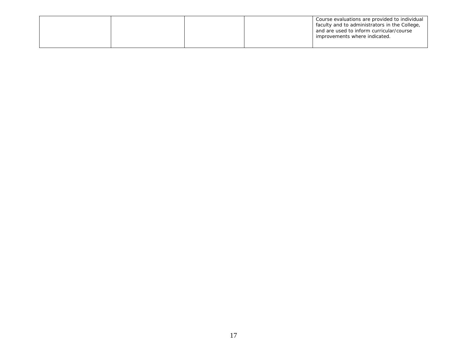|  |  | Course evaluations are provided to individual<br>faculty and to administrators in the College,<br>and are used to inform curricular/course<br>improvements where indicated. |
|--|--|-----------------------------------------------------------------------------------------------------------------------------------------------------------------------------|
|  |  |                                                                                                                                                                             |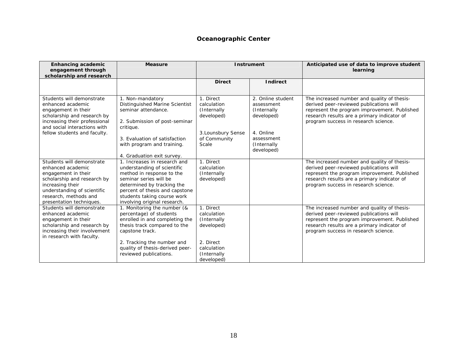#### **Oceanographic Center**

| <b>Enhancing academic</b><br>engagement through<br>scholarship and research                                                                                                                                  | <b>Measure</b>                                                                                                                                                                                                                                    | <b>Instrument</b>                                                                                              |                                                                                                                      | Anticipated use of data to improve student<br>learning                                                                                                                                                                        |
|--------------------------------------------------------------------------------------------------------------------------------------------------------------------------------------------------------------|---------------------------------------------------------------------------------------------------------------------------------------------------------------------------------------------------------------------------------------------------|----------------------------------------------------------------------------------------------------------------|----------------------------------------------------------------------------------------------------------------------|-------------------------------------------------------------------------------------------------------------------------------------------------------------------------------------------------------------------------------|
|                                                                                                                                                                                                              |                                                                                                                                                                                                                                                   | <b>Direct</b>                                                                                                  | <b>Indirect</b>                                                                                                      |                                                                                                                                                                                                                               |
| Students will demonstrate<br>enhanced academic<br>engagement in their<br>scholarship and research by<br>increasing their professional<br>and social interactions with<br>fellow students and faculty.        | 1. Non-mandatory<br>Distinguished Marine Scientist<br>seminar attendance.<br>2. Submission of post-seminar<br>critique.<br>3. Evaluation of satisfaction<br>with program and training.<br>4. Graduation exit survey.                              | 1. Direct<br>calculation<br>(Internally<br>developed)<br>3. Lounsbury Sense<br>of Community<br>Scale           | 2. Online student<br>assessment<br>(Internally<br>developed)<br>4. Online<br>assessment<br>(Internally<br>developed) | The increased number and quality of thesis-<br>derived peer-reviewed publications will<br>represent the program improvement. Published<br>research results are a primary indicator of<br>program success in research science. |
| Students will demonstrate<br>enhanced academic<br>engagement in their<br>scholarship and research by<br>increasing their<br>understanding of scientific<br>research, methods and<br>presentation techniques. | 1. Increases in research and<br>understanding of scientific<br>method in response to the<br>seminar series will be<br>determined by tracking the<br>percent of thesis and capstone<br>students taking course work<br>involving original research. | 1. Direct<br>calculation<br>(Internally<br>developed)                                                          |                                                                                                                      | The increased number and quality of thesis-<br>derived peer-reviewed publications will<br>represent the program improvement. Published<br>research results are a primary indicator of<br>program success in research science. |
| Students will demonstrate<br>enhanced academic<br>engagement in their<br>scholarship and research by<br>increasing their involvement<br>in research with faculty.                                            | 1. Monitoring the number (&<br>percentage) of students<br>enrolled in and completing the<br>thesis track compared to the<br>capstone track.<br>2. Tracking the number and<br>quality of thesis-derived peer-<br>reviewed publications.            | 1. Direct<br>calculation<br>(Internally<br>developed)<br>2. Direct<br>calculation<br>(Internally<br>developed) |                                                                                                                      | The increased number and quality of thesis-<br>derived peer-reviewed publications will<br>represent the program improvement. Published<br>research results are a primary indicator of<br>program success in research science. |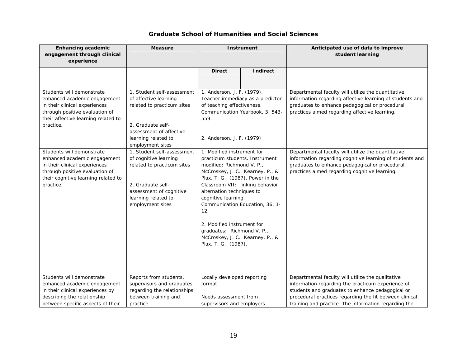#### **Graduate School of Humanities and Social Sciences**

| <b>Enhancing academic</b><br>engagement through clinical                                                                                                                         | <b>Measure</b>                                                                                                                                                               | <b>Instrument</b>                                                                                                                                                                                                                                                                                                                                                                                                       |                 | Anticipated use of data to improve<br>student learning                                                                                                                                                                                                                        |
|----------------------------------------------------------------------------------------------------------------------------------------------------------------------------------|------------------------------------------------------------------------------------------------------------------------------------------------------------------------------|-------------------------------------------------------------------------------------------------------------------------------------------------------------------------------------------------------------------------------------------------------------------------------------------------------------------------------------------------------------------------------------------------------------------------|-----------------|-------------------------------------------------------------------------------------------------------------------------------------------------------------------------------------------------------------------------------------------------------------------------------|
| experience                                                                                                                                                                       |                                                                                                                                                                              |                                                                                                                                                                                                                                                                                                                                                                                                                         |                 |                                                                                                                                                                                                                                                                               |
|                                                                                                                                                                                  |                                                                                                                                                                              | <b>Direct</b>                                                                                                                                                                                                                                                                                                                                                                                                           | <b>Indirect</b> |                                                                                                                                                                                                                                                                               |
| Students will demonstrate<br>enhanced academic engagement<br>in their clinical experiences<br>through positive evaluation of<br>their affective learning related to<br>practice. | 1. Student self-assessment<br>of affective learning<br>related to practicum sites<br>2. Graduate self-<br>assessment of affective<br>learning related to<br>employment sites | 1. Anderson, J. F. (1979).<br>Teacher immediacy as a predictor<br>of teaching effectiveness.<br>Communication Yearbook, 3, 543-<br>559.<br>2. Anderson, J. F. (1979)                                                                                                                                                                                                                                                    |                 | Departmental faculty will utilize the quantitative<br>information regarding affective learning of students and<br>graduates to enhance pedagogical or procedural<br>practices aimed regarding affective learning.                                                             |
| Students will demonstrate<br>enhanced academic engagement<br>in their clinical experiences<br>through positive evaluation of<br>their cognitive learning related to<br>practice. | 1. Student self-assessment<br>of cognitive learning<br>related to practicum sites<br>2. Graduate self-<br>assessment of cognitive<br>learning related to<br>employment sites | 1. Modified instrument for<br>practicum students. Instrument<br>modified: Richmond V. P.,<br>McCroskey, J. C. Kearney, P., &<br>Plax, T. G. (1987). Power in the<br>Classroom VII: linking behavior<br>alternation techniques to<br>cognitive learning.<br>Communication Education, 36, 1-<br>12.<br>2. Modified instrument for<br>graduates: Richmond V. P.,<br>McCroskey, J. C. Kearney, P., &<br>Plax, T. G. (1987). |                 | Departmental faculty will utilize the quantitative<br>information regarding cognitive learning of students and<br>graduates to enhance pedagogical or procedural<br>practices aimed regarding cognitive learning.                                                             |
| Students will demonstrate<br>enhanced academic engagement<br>in their clinical experiences by<br>describing the relationship<br>between specific aspects of their                | Reports from students,<br>supervisors and graduates<br>regarding the relationships<br>between training and<br>practice                                                       | Locally developed reporting<br>format<br>Needs assessment from<br>supervisors and employers.                                                                                                                                                                                                                                                                                                                            |                 | Departmental faculty will utilize the qualitative<br>information regarding the practicum experience of<br>students and graduates to enhance pedagogical or<br>procedural practices regarding the fit between clinical<br>training and practice. The information regarding the |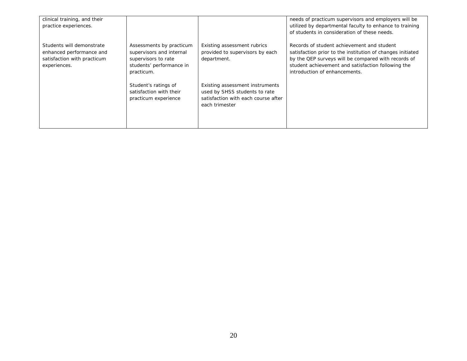| clinical training, and their                                                                         |                                                                                                                       |                                                                                                                           | needs of practicum supervisors and employers will be                                                                                                                                                                                                   |
|------------------------------------------------------------------------------------------------------|-----------------------------------------------------------------------------------------------------------------------|---------------------------------------------------------------------------------------------------------------------------|--------------------------------------------------------------------------------------------------------------------------------------------------------------------------------------------------------------------------------------------------------|
| practice experiences.                                                                                |                                                                                                                       |                                                                                                                           | utilized by departmental faculty to enhance to training                                                                                                                                                                                                |
|                                                                                                      |                                                                                                                       |                                                                                                                           | of students in consideration of these needs.                                                                                                                                                                                                           |
| Students will demonstrate<br>enhanced performance and<br>satisfaction with practicum<br>experiences. | Assessments by practicum<br>supervisors and internal<br>supervisors to rate<br>students' performance in<br>practicum. | Existing assessment rubrics<br>provided to supervisors by each<br>department.                                             | Records of student achievement and student<br>satisfaction prior to the institution of changes initiated<br>by the QEP surveys will be compared with records of<br>student achievement and satisfaction following the<br>introduction of enhancements. |
|                                                                                                      | Student's ratings of<br>satisfaction with their<br>practicum experience                                               | Existing assessment instruments<br>used by SHSS students to rate<br>satisfaction with each course after<br>each trimester |                                                                                                                                                                                                                                                        |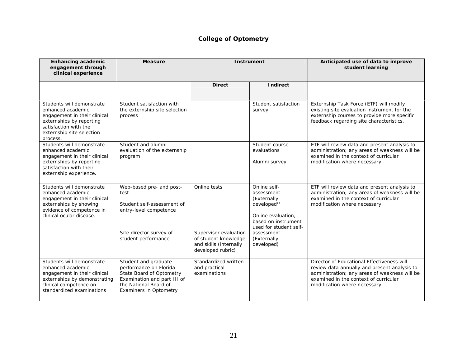# **College of Optometry**

| <b>Enhancing academic</b><br>engagement through<br>clinical experience                                                                                                       | <b>Measure</b>                                                                                                                                                      |                                                                                                              | <b>Instrument</b>                                                                                                                                                                       | Anticipated use of data to improve<br>student learning                                                                                                                                                                |
|------------------------------------------------------------------------------------------------------------------------------------------------------------------------------|---------------------------------------------------------------------------------------------------------------------------------------------------------------------|--------------------------------------------------------------------------------------------------------------|-----------------------------------------------------------------------------------------------------------------------------------------------------------------------------------------|-----------------------------------------------------------------------------------------------------------------------------------------------------------------------------------------------------------------------|
|                                                                                                                                                                              |                                                                                                                                                                     | <b>Direct</b>                                                                                                | <b>Indirect</b>                                                                                                                                                                         |                                                                                                                                                                                                                       |
| Students will demonstrate<br>enhanced academic<br>engagement in their clinical<br>externships by reporting<br>satisfaction with the<br>externship site selection<br>process. | Student satisfaction with<br>the externship site selection<br>process                                                                                               |                                                                                                              | Student satisfaction<br>survey                                                                                                                                                          | Externship Task Force (ETF) will modify<br>existing site evaluation instrument for the<br>externship courses to provide more specific<br>feedback regarding site characteristics.                                     |
| Students will demonstrate<br>enhanced academic<br>engagement in their clinical<br>externships by reporting<br>satisfaction with their<br>externship experience.              | Student and alumni<br>evaluation of the externship<br>program                                                                                                       |                                                                                                              | Student course<br>evaluations<br>Alumni survey                                                                                                                                          | ETF will review data and present analysis to<br>administration; any areas of weakness will be<br>examined in the context of curricular<br>modification where necessary.                                               |
| Students will demonstrate<br>enhanced academic<br>engagement in their clinical<br>externships by showing<br>evidence of competence in<br>clinical ocular disease.            | Web-based pre- and post-<br>test<br>Student self-assessment of<br>entry-level competence<br>Site director survey of<br>student performance                          | Online tests<br>Supervisor evaluation<br>of student knowledge<br>and skills (internally<br>developed rubric) | Online self-<br>assessment<br>(Externally<br>development <sup>1</sup><br>Online evaluation,<br>based on instrument<br>used for student self-<br>assessment<br>(Externally<br>developed) | ETF will review data and present analysis to<br>administration; any areas of weakness will be<br>examined in the context of curricular<br>modification where necessary.                                               |
| Students will demonstrate<br>enhanced academic<br>engagement in their clinical<br>externships by demonstrating<br>clinical competence on<br>standardized examinations        | Student and graduate<br>performance on Florida<br>State Board of Optometry<br>Examination and part III of<br>the National Board of<br><b>Examiners in Optometry</b> | Standardized written<br>and practical<br>examinations                                                        |                                                                                                                                                                                         | Director of Educational Effectiveness will<br>review data annually and present analysis to<br>administration; any areas of weakness will be<br>examined in the context of curricular<br>modification where necessary. |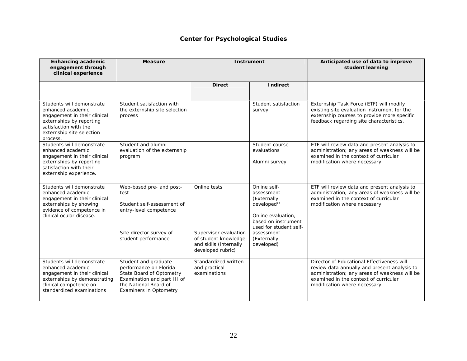## **Center for Psychological Studies**

| <b>Enhancing academic</b><br>engagement through<br>clinical experience                                                                                                       | <b>Measure</b>                                                                                                                                                      |                                                                                                              | <b>Instrument</b>                                                                                                                                                                       | Anticipated use of data to improve<br>student learning                                                                                                                                                                |
|------------------------------------------------------------------------------------------------------------------------------------------------------------------------------|---------------------------------------------------------------------------------------------------------------------------------------------------------------------|--------------------------------------------------------------------------------------------------------------|-----------------------------------------------------------------------------------------------------------------------------------------------------------------------------------------|-----------------------------------------------------------------------------------------------------------------------------------------------------------------------------------------------------------------------|
|                                                                                                                                                                              |                                                                                                                                                                     | <b>Direct</b>                                                                                                | <b>Indirect</b>                                                                                                                                                                         |                                                                                                                                                                                                                       |
| Students will demonstrate<br>enhanced academic<br>engagement in their clinical<br>externships by reporting<br>satisfaction with the<br>externship site selection<br>process. | Student satisfaction with<br>the externship site selection<br>process                                                                                               |                                                                                                              | Student satisfaction<br>survey                                                                                                                                                          | Externship Task Force (ETF) will modify<br>existing site evaluation instrument for the<br>externship courses to provide more specific<br>feedback regarding site characteristics.                                     |
| Students will demonstrate<br>enhanced academic<br>engagement in their clinical<br>externships by reporting<br>satisfaction with their<br>externship experience.              | Student and alumni<br>evaluation of the externship<br>program                                                                                                       |                                                                                                              | Student course<br>evaluations<br>Alumni survey                                                                                                                                          | ETF will review data and present analysis to<br>administration; any areas of weakness will be<br>examined in the context of curricular<br>modification where necessary.                                               |
| Students will demonstrate<br>enhanced academic<br>engagement in their clinical<br>externships by showing<br>evidence of competence in<br>clinical ocular disease.            | Web-based pre- and post-<br>test<br>Student self-assessment of<br>entry-level competence<br>Site director survey of<br>student performance                          | Online tests<br>Supervisor evaluation<br>of student knowledge<br>and skills (internally<br>developed rubric) | Online self-<br>assessment<br>(Externally<br>development <sup>1</sup><br>Online evaluation.<br>based on instrument<br>used for student self-<br>assessment<br>(Externally<br>developed) | ETF will review data and present analysis to<br>administration; any areas of weakness will be<br>examined in the context of curricular<br>modification where necessary.                                               |
| Students will demonstrate<br>enhanced academic<br>engagement in their clinical<br>externships by demonstrating<br>clinical competence on<br>standardized examinations        | Student and graduate<br>performance on Florida<br>State Board of Optometry<br>Examination and part III of<br>the National Board of<br><b>Examiners in Optometry</b> | Standardized written<br>and practical<br>examinations                                                        |                                                                                                                                                                                         | Director of Educational Effectiveness will<br>review data annually and present analysis to<br>administration; any areas of weakness will be<br>examined in the context of curricular<br>modification where necessary. |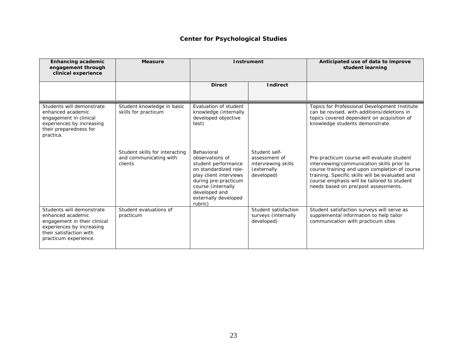#### **Center for Psychological Studies**

| <b>Enhancing academic</b><br>engagement through<br>clinical experience                                                                                          | <b>Measure</b>                                                      | <b>Instrument</b>                                                                                                                                                                                         |                                                                                    | Anticipated use of data to improve<br>student learning                                                                                                                                                                                                                              |
|-----------------------------------------------------------------------------------------------------------------------------------------------------------------|---------------------------------------------------------------------|-----------------------------------------------------------------------------------------------------------------------------------------------------------------------------------------------------------|------------------------------------------------------------------------------------|-------------------------------------------------------------------------------------------------------------------------------------------------------------------------------------------------------------------------------------------------------------------------------------|
|                                                                                                                                                                 |                                                                     | <b>Direct</b>                                                                                                                                                                                             | <b>Indirect</b>                                                                    |                                                                                                                                                                                                                                                                                     |
| Students will demonstrate<br>enhanced academic<br>engagement in clinical<br>experiences by increasing<br>their preparedness for<br>practica.                    | Student knowledge in basic<br>skills for practicum                  | Evaluation of student<br>knowledge (internally<br>developed objective<br>test)                                                                                                                            |                                                                                    | Topics for Professional Development Institute<br>can be revised, with additions/deletions in<br>topics covered dependent on acquisition of<br>knowledge students demonstrate.                                                                                                       |
|                                                                                                                                                                 | Student skills for interacting<br>and communicating with<br>clients | Behavioral<br>observations of<br>student performance<br>on standardized role-<br>play client interviews<br>during pre-practicum<br>course (internally<br>developed and<br>externally developed<br>rubric) | Student self-<br>assessment of<br>interviewing skills<br>(externally<br>developed) | Pre-practicum course will evaluate student<br>interviewing/communication skills prior to<br>course training and upon completion of course<br>training. Specific skills will be evaluated and<br>course emphasis will be tailored to student<br>needs based on pre/post assessments. |
| Students will demonstrate<br>enhanced academic<br>engagement in their clinical<br>experiences by increasing<br>their satisfaction with<br>practicum experience. | Student evaluations of<br>practicum                                 |                                                                                                                                                                                                           | Student satisfaction<br>surveys (internally<br>developed)                          | Student satisfaction surveys will serve as<br>supplemental information to help tailor<br>communication with practicum sites                                                                                                                                                         |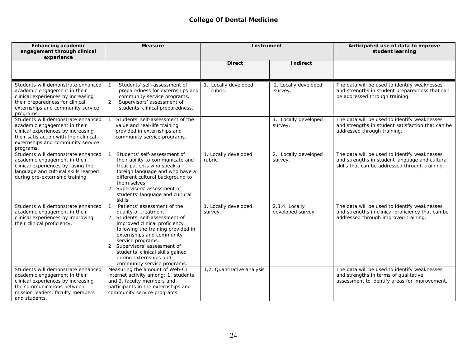#### **College Of Dental Medicine**

| <b>Enhancing academic</b><br>engagement through clinical<br>experience                                                                                                                               | <b>Measure</b>                                                                                                                                                                                                                                                                                                                                                      | <b>Instrument</b>               |                                       | Anticipated use of data to improve<br>student learning                                                                                           |
|------------------------------------------------------------------------------------------------------------------------------------------------------------------------------------------------------|---------------------------------------------------------------------------------------------------------------------------------------------------------------------------------------------------------------------------------------------------------------------------------------------------------------------------------------------------------------------|---------------------------------|---------------------------------------|--------------------------------------------------------------------------------------------------------------------------------------------------|
|                                                                                                                                                                                                      |                                                                                                                                                                                                                                                                                                                                                                     | <b>Direct</b>                   | Indirect                              |                                                                                                                                                  |
| Students will demonstrate enhanced<br>academic engagement in their<br>clinical experiences by increasing<br>their preparedness for clinical<br>externships and community service<br>programs.        | Students' self-assessment of<br>$\mathbf{1}$ .<br>preparedness for externships and<br>community service programs.<br>2. Supervisors' assessment of<br>students' clinical preparedness.                                                                                                                                                                              | 1. Locally developed<br>rubric. | 2. Locally developed<br>survey.       | The data will be used to identify weaknesses<br>and strengths in student preparedness that can<br>be addressed through training.                 |
| Students will demonstrate enhanced<br>academic engagement in their<br>clinical experiences by increasing<br>their satisfaction with their clinical<br>externships and community service<br>programs. | Students' self-assessment of the<br>value and real-life training<br>provided in externships and<br>community service programs.                                                                                                                                                                                                                                      |                                 | 1. Locally developed<br>survey.       | The data will be used to identify weaknesses<br>and strengths in student satisfaction that can be<br>addressed through training.                 |
| Students will demonstrate enhanced<br>academic engagement in their<br>clinical experiences by using the<br>language and cultural skills learned<br>during pre-externship training.                   | Students' self-assessment of<br>their ability to communicate and<br>treat patients who speak a<br>foreign language and who have a<br>different cultural background to<br>them selves.<br>2. Supervisors' assessment of<br>students' language and cultural<br>skills.                                                                                                | 1. Locally developed<br>rubric. | 2. Locally developed<br>survey.       | The data will be used to identify weaknesses<br>and strengths in student language and cultural<br>skills that can be addressed through training. |
| Students will demonstrate enhanced<br>academic engagement in their<br>clinical experiences by improving<br>their clinical proficiency.                                                               | Patients' assessment of the<br>$\mathbf{1}$ .<br>quality of treatment.<br>2. Students' self-assessment of<br>improved clinical proficiency<br>following the training provided in<br>externships and community<br>service programs.<br>Supervisors' assessment of<br>2.<br>students' clinical skills gained<br>during externships and<br>community service programs. | 1. Locally developed<br>survey. | $2,3,4.$ Locally<br>developed survey. | The data will be used to identify weaknesses<br>and strengths in clinical proficiency that can be<br>addressed through improved training.        |
| Students will demonstrate enhanced<br>academic engagement in their<br>clinical experiences by increasing<br>the communications between<br>mission leaders, faculty members<br>and students.          | Measuring the amount of Web-CT<br>internet activity among: 1. students,<br>and 2. faculty members and<br>participants in the externships and<br>community service programs.                                                                                                                                                                                         | 1,2. Quantitative analysis      |                                       | The data will be used to identify weaknesses<br>and strengths in terms of qualitative<br>assessment to identify areas for improvement.           |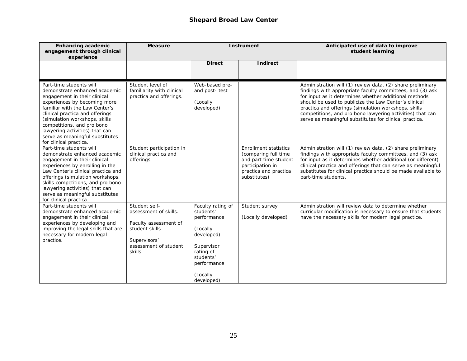#### **Shepard Broad Law Center**

| <b>Enhancing academic</b><br>engagement through clinical<br>experience                                                                                                                                                                                                                                                                                      | <b>Measure</b>                                                                                                                         |                                                                                                                                                          | <b>Instrument</b>                                                                                                                          | Anticipated use of data to improve<br>student learning                                                                                                                                                                                                                                                                                                                                                                   |
|-------------------------------------------------------------------------------------------------------------------------------------------------------------------------------------------------------------------------------------------------------------------------------------------------------------------------------------------------------------|----------------------------------------------------------------------------------------------------------------------------------------|----------------------------------------------------------------------------------------------------------------------------------------------------------|--------------------------------------------------------------------------------------------------------------------------------------------|--------------------------------------------------------------------------------------------------------------------------------------------------------------------------------------------------------------------------------------------------------------------------------------------------------------------------------------------------------------------------------------------------------------------------|
|                                                                                                                                                                                                                                                                                                                                                             |                                                                                                                                        | <b>Direct</b>                                                                                                                                            | <b>Indirect</b>                                                                                                                            |                                                                                                                                                                                                                                                                                                                                                                                                                          |
| Part-time students will<br>demonstrate enhanced academic<br>engagement in their clinical<br>experiences by becoming more<br>familiar with the Law Center's<br>clinical practica and offerings<br>(simulation workshops, skills<br>competitions, and pro bono<br>lawyering activities) that can<br>serve as meaningful substitutes<br>for clinical practica. | Student level of<br>familiarity with clinical<br>practica and offerings.                                                               | Web-based pre-<br>and post- test<br>(Locally<br>developed)                                                                                               |                                                                                                                                            | Administration will (1) review data, (2) share preliminary<br>findings with appropriate faculty committees, and (3) ask<br>for input as it determines whether additional methods<br>should be used to publicize the Law Center's clinical<br>practica and offerings (simulation workshops, skills<br>competitions, and pro bono lawyering activities) that can<br>serve as meaningful substitutes for clinical practica. |
| Part-time students will<br>demonstrate enhanced academic<br>engagement in their clinical<br>experiences by enrolling in the<br>Law Center's clinical practica and<br>offerings (simulation workshops,<br>skills competitions, and pro bono<br>lawyering activities) that can<br>serve as meaningful substitutes<br>for clinical practica.                   | Student participation in<br>clinical practica and<br>offerings.                                                                        |                                                                                                                                                          | <b>Enrollment statistics</b><br>(comparing full time<br>and part time student<br>participation in<br>practica and practica<br>substitutes) | Administration will (1) review data, (2) share preliminary<br>findings with appropriate faculty committees, and (3) ask<br>for input as it determines whether additional (or different)<br>clinical practica and offerings that can serve as meaningful<br>substitutes for clinical practica should be made available to<br>part-time students.                                                                          |
| Part-time students will<br>demonstrate enhanced academic<br>engagement in their clinical<br>experiences by developing and<br>improving the legal skills that are<br>necessary for modern legal<br>practice.                                                                                                                                                 | Student self-<br>assessment of skills.<br>Faculty assessment of<br>student skills.<br>Supervisors'<br>assessment of student<br>skills. | Faculty rating of<br>students'<br>performance<br>(Locally<br>developed)<br>Supervisor<br>rating of<br>students'<br>performance<br>(Locally<br>developed) | Student survey<br>(Locally developed)                                                                                                      | Administration will review data to determine whether<br>curricular modification is necessary to ensure that students<br>have the necessary skills for modern legal practice.                                                                                                                                                                                                                                             |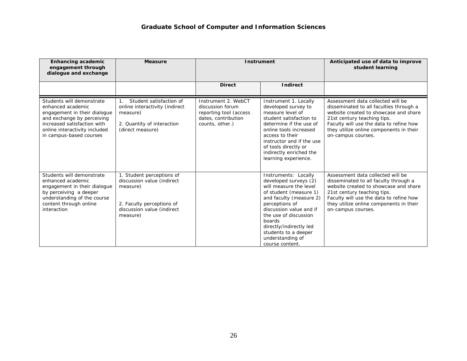| <b>Enhancing academic</b><br>engagement through<br>dialogue and exchange                                                                                                                                | <b>Measure</b>                                                                                                                             | <b>Instrument</b>                                                                                           |                                                                                                                                                                                                                                                                                                        | Anticipated use of data to improve<br>student learning                                                                                                                                                                                                           |
|---------------------------------------------------------------------------------------------------------------------------------------------------------------------------------------------------------|--------------------------------------------------------------------------------------------------------------------------------------------|-------------------------------------------------------------------------------------------------------------|--------------------------------------------------------------------------------------------------------------------------------------------------------------------------------------------------------------------------------------------------------------------------------------------------------|------------------------------------------------------------------------------------------------------------------------------------------------------------------------------------------------------------------------------------------------------------------|
|                                                                                                                                                                                                         |                                                                                                                                            | <b>Direct</b>                                                                                               | <b>Indirect</b>                                                                                                                                                                                                                                                                                        |                                                                                                                                                                                                                                                                  |
| Students will demonstrate<br>enhanced academic<br>engagement in their dialogue<br>and exchange by perceiving<br>increased satisfaction with<br>online interactivity included<br>in campus-based courses | Student satisfaction of<br>online interactivity (indirect<br>measure)<br>2. Quantity of interaction<br>(direct measure)                    | Instrument 2. WebCT<br>discussion forum<br>reporting tool (access<br>dates, contribution<br>counts, other.) | Instrument 1. Locally<br>developed survey to<br>measure level of<br>student satisfaction to<br>determine if the use of<br>online tools increased<br>access to their<br>instructor and if the use<br>of tools directly or<br>indirectly enriched the<br>learning experience.                            | Assessment data collected will be<br>disseminated to all faculties through a<br>website created to showcase and share<br>21st century teaching tips.<br>Faculty will use the data to refine how<br>they utilize online components in their<br>on-campus courses. |
| Students will demonstrate<br>enhanced academic<br>engagement in their dialogue<br>by perceiving a deeper<br>understanding of the course<br>content through online<br>interaction                        | 1. Student perceptions of<br>discussion value (indirect<br>measure)<br>2. Faculty perceptions of<br>discussion value (indirect<br>measure) |                                                                                                             | Instruments: Locally<br>developed surveys (2)<br>will measure the level<br>of student (measure 1)<br>and faculty (measure 2)<br>perceptions of<br>discussion value and if<br>the use of discussion<br>boards<br>directly/indirectly led<br>students to a deeper<br>understanding of<br>course content. | Assessment data collected will be<br>disseminated to all faculty through a<br>website created to showcase and share<br>21st century teaching tips.<br>Faculty will use the data to refine how<br>they utilize online components in their<br>on-campus courses.   |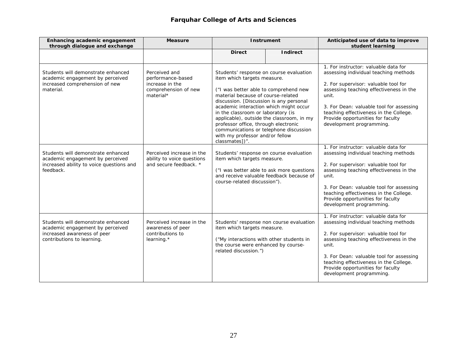## **Farquhar College of Arts and Sciences**

| Enhancing academic engagement<br>through dialogue and exchange                                                                      | <b>Measure</b>                                                                             |                                                                                                                                                                                                                                                                                                                                                                                                                         | <b>Instrument</b>                                                                     | Anticipated use of data to improve<br>student learning                                                                                                                                                                                                                                                                           |
|-------------------------------------------------------------------------------------------------------------------------------------|--------------------------------------------------------------------------------------------|-------------------------------------------------------------------------------------------------------------------------------------------------------------------------------------------------------------------------------------------------------------------------------------------------------------------------------------------------------------------------------------------------------------------------|---------------------------------------------------------------------------------------|----------------------------------------------------------------------------------------------------------------------------------------------------------------------------------------------------------------------------------------------------------------------------------------------------------------------------------|
|                                                                                                                                     |                                                                                            | <b>Direct</b>                                                                                                                                                                                                                                                                                                                                                                                                           | <b>Indirect</b>                                                                       |                                                                                                                                                                                                                                                                                                                                  |
| Students will demonstrate enhanced<br>academic engagement by perceived<br>increased comprehension of new<br>material.               | Perceived and<br>performance-based<br>increase in the<br>comprehension of new<br>material* | Students' response on course evaluation<br>item which targets measure.<br>("I was better able to comprehend new<br>material because of course-related<br>discussion. [Discussion is any personal<br>academic interaction which might occur<br>in the classroom or laboratory (is<br>professor office, through electronic<br>communications or telephone discussion<br>with my professor and/or fellow<br>classmates])". | applicable), outside the classroom, in my                                             | 1. For instructor: valuable data for<br>assessing individual teaching methods<br>2. For supervisor: valuable tool for<br>assessing teaching effectiveness in the<br>unit.<br>3. For Dean: valuable tool for assessing<br>teaching effectiveness in the College.<br>Provide opportunities for faculty<br>development programming. |
| Students will demonstrate enhanced<br>academic engagement by perceived<br>increased ability to voice questions and<br>feedback.     | Perceived increase in the<br>ability to voice questions<br>and secure feedback. *          | Students' response on course evaluation<br>item which targets measure.<br>course-related discussion").                                                                                                                                                                                                                                                                                                                  | ("I was better able to ask more questions<br>and receive valuable feedback because of | 1. For instructor: valuable data for<br>assessing individual teaching methods<br>2. For supervisor: valuable tool for<br>assessing teaching effectiveness in the<br>unit.<br>3. For Dean: valuable tool for assessing<br>teaching effectiveness in the College.<br>Provide opportunities for faculty<br>development programming. |
| Students will demonstrate enhanced<br>academic engagement by perceived<br>increased awareness of peer<br>contributions to learning. | Perceived increase in the<br>awareness of peer<br>contributions to<br>learning.*           | item which targets measure.<br>("My interactions with other students in<br>the course were enhanced by course-<br>related discussion.")                                                                                                                                                                                                                                                                                 | Students' response non course evaluation                                              | 1. For instructor: valuable data for<br>assessing individual teaching methods<br>2. For supervisor: valuable tool for<br>assessing teaching effectiveness in the<br>unit.<br>3. For Dean: valuable tool for assessing<br>teaching effectiveness in the College.<br>Provide opportunities for faculty<br>development programming. |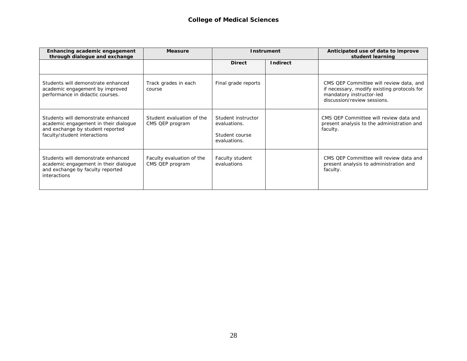| Enhancing academic engagement<br>through dialogue and exchange                                                                                  | <b>Measure</b>                               |                                                                      | Instrument      | Anticipated use of data to improve<br>student learning                                                                                            |
|-------------------------------------------------------------------------------------------------------------------------------------------------|----------------------------------------------|----------------------------------------------------------------------|-----------------|---------------------------------------------------------------------------------------------------------------------------------------------------|
|                                                                                                                                                 |                                              | <b>Direct</b>                                                        | <b>Indirect</b> |                                                                                                                                                   |
| Students will demonstrate enhanced<br>academic engagement by improved<br>performance in didactic courses.                                       | Track grades in each<br>course               | Final grade reports                                                  |                 | CMS QEP Committee will review data, and<br>if necessary, modify existing protocols for<br>mandatory instructor-led<br>discussion/review sessions. |
| Students will demonstrate enhanced<br>academic engagement in their dialogue<br>and exchange by student reported<br>faculty/student interactions | Student evaluation of the<br>CMS QEP program | Student instructor<br>evaluations.<br>Student course<br>evaluations. |                 | CMS OEP Committee will review data and<br>present analysis to the administration and<br>faculty.                                                  |
| Students will demonstrate enhanced<br>academic engagement in their dialogue<br>and exchange by faculty reported<br><i>interactions</i>          | Faculty evaluation of the<br>CMS QEP program | Faculty student<br>evaluations                                       |                 | CMS QEP Committee will review data and<br>present analysis to administration and<br>faculty.                                                      |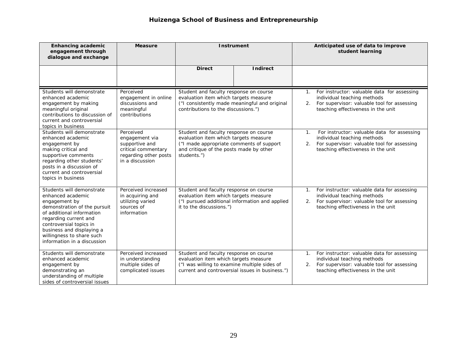| <b>Enhancing academic</b><br>engagement through<br>dialogue and exchange                                                                                                                                                                                                  | <b>Measure</b>                                                                                                   |                                                                                                                                                                                       | <b>Instrument</b> |          | Anticipated use of data to improve<br>student learning                                                                                                             |
|---------------------------------------------------------------------------------------------------------------------------------------------------------------------------------------------------------------------------------------------------------------------------|------------------------------------------------------------------------------------------------------------------|---------------------------------------------------------------------------------------------------------------------------------------------------------------------------------------|-------------------|----------|--------------------------------------------------------------------------------------------------------------------------------------------------------------------|
|                                                                                                                                                                                                                                                                           |                                                                                                                  | <b>Direct</b>                                                                                                                                                                         | <b>Indirect</b>   |          |                                                                                                                                                                    |
| Students will demonstrate<br>enhanced academic<br>engagement by making<br>meaningful original<br>contributions to discussion of<br>current and controversial<br>topics in business                                                                                        | Perceived<br>engagement in online<br>discussions and<br>meaningful<br>contributions                              | Student and faculty response on course<br>evaluation item which targets measure<br>("I consistently made meaningful and original<br>contributions to the discussions.")               |                   | 1.<br>2. | For instructor: valuable data for assessing<br>individual teaching methods<br>For supervisor: valuable tool for assessing<br>teaching effectiveness in the unit    |
| Students will demonstrate<br>enhanced academic<br>engagement by<br>making critical and<br>supportive comments<br>regarding other students'<br>posts in a discussion of<br>current and controversial<br>topics in business                                                 | Perceived<br>engagement via<br>supportive and<br>critical commentary<br>regarding other posts<br>in a discussion | Student and faculty response on course<br>evaluation item which targets measure<br>("I made appropriate comments of support<br>and critique of the posts made by other<br>students.") |                   | 1.<br>2. | For instructor: valuable data for assessing<br>individual teaching methods<br>For supervisor: valuable tool for assessing<br>teaching effectiveness in the unit    |
| Students will demonstrate<br>enhanced academic<br>engagement by<br>demonstration of the pursuit<br>of additional information<br>regarding current and<br>controversial topics in<br>business and displaying a<br>willingness to share such<br>information in a discussion | Perceived increased<br>in acquiring and<br>utilizing varied<br>sources of<br>information                         | Student and faculty response on course<br>evaluation item which targets measure<br>("I pursued additional information and applied<br>it to the discussions.")                         |                   | 2.       | 1. For instructor: valuable data for assessing<br>individual teaching methods<br>For supervisor: valuable tool for assessing<br>teaching effectiveness in the unit |
| Students will demonstrate<br>enhanced academic<br>engagement by<br>demonstrating an<br>understanding of multiple<br>sides of controversial issues                                                                                                                         | Perceived increased<br>in understanding<br>multiple sides of<br>complicated issues                               | Student and faculty response on course<br>evaluation item which targets measure<br>("I was willing to examine multiple sides of<br>current and controversial issues in business.")    |                   | 2.       | 1. For instructor: valuable data for assessing<br>individual teaching methods<br>For supervisor: valuable tool for assessing<br>teaching effectiveness in the unit |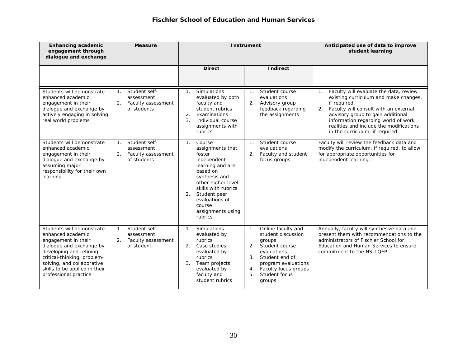| <b>Enhancing academic</b><br>engagement through<br>dialogue and exchange                                                                                                                                                                            | <b>Measure</b>                                                                           |                                                                                                                                                                                                                                           | <b>Instrument</b>                                                                                                                                                                                                                     | Anticipated use of data to improve<br>student learning                                                                                                                                                                                                                                                                     |
|-----------------------------------------------------------------------------------------------------------------------------------------------------------------------------------------------------------------------------------------------------|------------------------------------------------------------------------------------------|-------------------------------------------------------------------------------------------------------------------------------------------------------------------------------------------------------------------------------------------|---------------------------------------------------------------------------------------------------------------------------------------------------------------------------------------------------------------------------------------|----------------------------------------------------------------------------------------------------------------------------------------------------------------------------------------------------------------------------------------------------------------------------------------------------------------------------|
|                                                                                                                                                                                                                                                     |                                                                                          | <b>Direct</b>                                                                                                                                                                                                                             | <b>Indirect</b>                                                                                                                                                                                                                       |                                                                                                                                                                                                                                                                                                                            |
| Students will demonstrate<br>enhanced academic<br>engagement in their<br>dialogue and exchange by<br>actively engaging in solving<br>real world problems                                                                                            | Student self-<br>1 <sub>1</sub><br>assessment<br>Faculty assessment<br>2.<br>of students | Simulations<br>$\mathbf{1}$ .<br>evaluated by both<br>faculty and<br>student rubrics<br>2.<br>Examinations<br>3.<br>Individual course<br>assignments with<br>rubrics                                                                      | Student course<br>$1_{\ldots}$<br>evaluations<br>2.<br>Advisory group<br>feedback regarding<br>the assignments                                                                                                                        | Faculty will evaluate the data, review<br>1 <sup>1</sup><br>existing curriculum and make changes,<br>if required.<br>Faculty will consult with an external<br>2.<br>advisory group to gain additional<br>information regarding world of work<br>realities and include the modifications<br>in the curriculum, if required. |
| Students will demonstrate<br>enhanced academic<br>engagement in their<br>dialogue and exchange by<br>assuming major<br>responsibility for their own<br>learning                                                                                     | Student self-<br>$\mathbf{1}$ .<br>assessment<br>Faculty assessment<br>2.<br>of students | Course<br>1.<br>assignments that<br>foster<br>independent<br>learning and are<br>based on<br>synthesis and<br>other higher level<br>skills with rubrics<br>Student peer<br>2.<br>evaluations of<br>course<br>assignments using<br>rubrics | Student course<br>1.<br>evaluations<br>Faculty and student<br>2.<br>focus groups                                                                                                                                                      | Faculty will review the feedback data and<br>modify the curriculum, if required, to allow<br>for appropriate opportunities for<br>independent learning.                                                                                                                                                                    |
| Students will demonstrate<br>enhanced academic<br>engagement in their<br>dialogue and exchange by<br>developing and refining<br>critical-thinking, problem-<br>solving, and collaborative<br>skills to be applied in their<br>professional practice | Student self-<br>$\mathbf{1}$ .<br>assessment<br>Faculty assessment<br>2.<br>of student  | Simulations<br>1.<br>evaluated by<br>rubrics<br>Case studies<br>2 <sub>1</sub><br>evaluated by<br>rubrics<br>3.<br>Team projects<br>evaluated by<br>faculty and<br>student rubrics                                                        | Online faculty and<br>1 <sub>1</sub><br>student discussion<br>groups<br>2 <sub>1</sub><br>Student course<br>evaluations<br>3.<br>Student end of<br>program evaluations<br>Faculty focus groups<br>4.<br>Student focus<br>5.<br>groups | Annually, faculty will synthesize data and<br>present them with recommendations to the<br>administrators of Fischler School for<br>Education and Human Services to ensure<br>commitment to the NSU OEP.                                                                                                                    |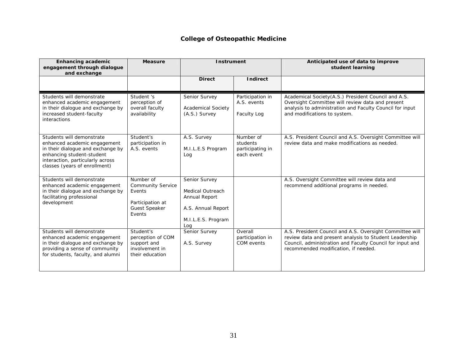#### **College of Osteopathic Medicine**

| <b>Enhancing academic</b><br>engagement through dialogue<br>and exchange                                                                                                                         | <b>Measure</b>                                                                                        | <b>Instrument</b>                                                                                     |                                                         | Anticipated use of data to improve<br>student learning                                                                                                                                                                  |
|--------------------------------------------------------------------------------------------------------------------------------------------------------------------------------------------------|-------------------------------------------------------------------------------------------------------|-------------------------------------------------------------------------------------------------------|---------------------------------------------------------|-------------------------------------------------------------------------------------------------------------------------------------------------------------------------------------------------------------------------|
|                                                                                                                                                                                                  |                                                                                                       | <b>Direct</b>                                                                                         | <b>Indirect</b>                                         |                                                                                                                                                                                                                         |
| Students will demonstrate<br>enhanced academic engagement<br>in their dialogue and exchange by<br>increased student-faculty<br>interactions                                                      | Student 's<br>perception of<br>overall faculty<br>availability                                        | Senior Survey<br><b>Academical Society</b><br>(A.S.) Survey                                           | Participation in<br>A.S. events<br><b>Faculty Log</b>   | Academical Society(A.S.) President Council and A.S.<br>Oversight Committee will review data and present<br>analysis to administration and Faculty Council for input<br>and modifications to system.                     |
| Students will demonstrate<br>enhanced academic engagement<br>in their dialogue and exchange by<br>enhancing student-student<br>interaction, particularly across<br>classes (years of enrollment) | Student's<br>participation in<br>A.S. events                                                          | A.S. Survey<br>M.I.L.E.S Program<br>Log                                                               | Number of<br>students<br>participating in<br>each event | A.S. President Council and A.S. Oversight Committee will<br>review data and make modifications as needed.                                                                                                               |
| Students will demonstrate<br>enhanced academic engagement<br>in their dialogue and exchange by<br>facilitating professional<br>development                                                       | Number of<br><b>Community Service</b><br>Events<br>Participation at<br><b>Guest Speaker</b><br>Events | Senior Survey<br>Medical Outreach<br>Annual Report<br>A.S. Annual Report<br>M.I.L.E.S. Program<br>Log |                                                         | A.S. Oversight Committee will review data and<br>recommend additional programs in needed.                                                                                                                               |
| Students will demonstrate<br>enhanced academic engagement<br>in their dialogue and exchange by<br>providing a sense of community<br>for students, faculty, and alumni                            | Student's<br>perception of COM<br>support and<br>involvement in<br>their education                    | Senior Survey<br>A.S. Survey                                                                          | Overall<br>participation in<br>COM events               | A.S. President Council and A.S. Oversight Committee will<br>review data and present analysis to Student Leadership<br>Council, administration and Faculty Council for input and<br>recommended modification, if needed. |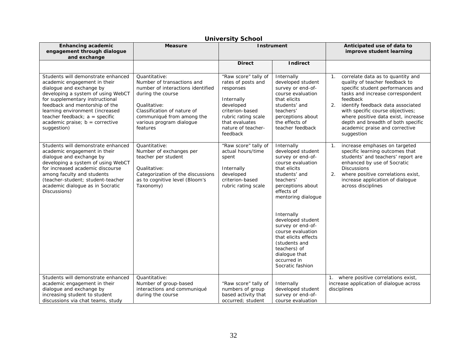| <b>Enhancing academic</b><br>engagement through dialogue<br>and exchange                                                                                                                                                                                                                                                             | <b>Measure</b>                                                                                                                                                                                                            | <b>Instrument</b>                                                                                                                                                                |                                                                                                                                                                                                                                                                                                                                                                            | Anticipated use of data to<br>improve student learning                                                                                                                                                                                                                                                                                                                                 |
|--------------------------------------------------------------------------------------------------------------------------------------------------------------------------------------------------------------------------------------------------------------------------------------------------------------------------------------|---------------------------------------------------------------------------------------------------------------------------------------------------------------------------------------------------------------------------|----------------------------------------------------------------------------------------------------------------------------------------------------------------------------------|----------------------------------------------------------------------------------------------------------------------------------------------------------------------------------------------------------------------------------------------------------------------------------------------------------------------------------------------------------------------------|----------------------------------------------------------------------------------------------------------------------------------------------------------------------------------------------------------------------------------------------------------------------------------------------------------------------------------------------------------------------------------------|
|                                                                                                                                                                                                                                                                                                                                      |                                                                                                                                                                                                                           | <b>Direct</b>                                                                                                                                                                    | <b>Indirect</b>                                                                                                                                                                                                                                                                                                                                                            |                                                                                                                                                                                                                                                                                                                                                                                        |
| Students will demonstrate enhanced<br>academic engagement in their<br>dialogue and exchange by<br>developing a system of using WebCT<br>for supplementary instructional<br>feedback and mentorship of the<br>learning environment (increased<br>teacher feedback; $a = specific$<br>academic praise; $b =$ corrective<br>suggestion) | Quantitative:<br>Number of transactions and<br>number of interactions identified<br>during the course<br>Qualitative:<br>Classification of nature of<br>communiqué from among the<br>various program dialogue<br>features | "Raw score" tally of<br>rates of posts and<br>responses<br>Internally<br>developed<br>criterion-based<br>rubric rating scale<br>that evaluates<br>nature of teacher-<br>feedback | Internally<br>developed student<br>survey or end-of-<br>course evaluation<br>that elicits<br>students' and<br>teachers'<br>perceptions about<br>the effects of<br>teacher feedback                                                                                                                                                                                         | correlate data as to quantity and<br>$\mathbf{1}$ .<br>quality of teacher feedback to<br>specific student performances and<br>tasks and increase correspondent<br>feedback<br>identify feedback data associated<br>2.<br>with specific course objectives;<br>where positive data exist, increase<br>depth and breadth of both specific<br>academic praise and corrective<br>suggestion |
| Students will demonstrate enhanced<br>academic engagement in their<br>dialogue and exchange by<br>developing a system of using WebCT<br>for increased academic discourse<br>among faculty and students<br>(teacher-student; student-teacher<br>academic dialogue as in Socratic<br>Discussions)                                      | Quantitative:<br>Number of exchanges per<br>teacher per student<br>Qualitative:<br>Categorization of the discussions<br>as to cognitive level (Bloom's<br>Taxonomy)                                                       | "Raw score" tally of<br>actual hours/time<br>spent<br>Internally<br>developed<br>criterion-based<br>rubric rating scale                                                          | Internally<br>developed student<br>survey or end-of-<br>course evaluation<br>that elicits<br>students' and<br>teachers'<br>perceptions about<br>effects of<br>mentoring dialogue<br>Internally<br>developed student<br>survey or end-of-<br>course evaluation<br>that elicits effects<br>(students and<br>teachers) of<br>dialogue that<br>occurred in<br>Socratic fashion | increase emphases on targeted<br>$\mathbf{1}$ .<br>specific learning outcomes that<br>students' and teachers' report are<br>enhanced by use of Socratic<br><b>Discussions</b><br>where positive correlations exist,<br>2.<br>increase application of dialogue<br>across disciplines                                                                                                    |
| Students will demonstrate enhanced<br>academic engagement in their<br>dialogue and exchange by<br>increasing student to student<br>discussions via chat teams, study                                                                                                                                                                 | Quantitative:<br>Number of group-based<br>interactions and communiqué<br>during the course                                                                                                                                | "Raw score" tally of<br>numbers of group<br>based activity that<br>occurred; student                                                                                             | Internally<br>developed student<br>survey or end-of-<br>course evaluation                                                                                                                                                                                                                                                                                                  | 1. where positive correlations exist,<br>increase application of dialogue across<br>disciplines                                                                                                                                                                                                                                                                                        |

#### **University School**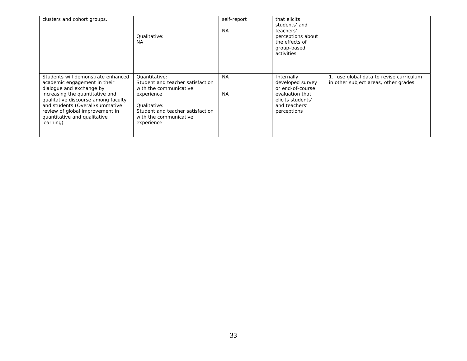| clusters and cohort groups.                                                                                                                                                                                                                                                                 | Oualitative:<br><b>NA</b>                                                                                                                                                             | self-report<br><b>NA</b> | that elicits<br>students' and<br>teachers'<br>perceptions about<br>the effects of<br>group-based<br>activities             |                                                                                 |
|---------------------------------------------------------------------------------------------------------------------------------------------------------------------------------------------------------------------------------------------------------------------------------------------|---------------------------------------------------------------------------------------------------------------------------------------------------------------------------------------|--------------------------|----------------------------------------------------------------------------------------------------------------------------|---------------------------------------------------------------------------------|
| Students will demonstrate enhanced<br>academic engagement in their<br>dialogue and exchange by<br>increasing the quantitative and<br>qualitative discourse among faculty<br>and students (Overall/summative<br>review of global improvement in<br>quantitative and qualitative<br>learning) | Quantitative:<br>Student and teacher satisfaction<br>with the communicative<br>experience<br>Qualitative:<br>Student and teacher satisfaction<br>with the communicative<br>experience | <b>NA</b><br><b>NA</b>   | Internally<br>developed survey<br>or end-of-course<br>evaluation that<br>elicits students'<br>and teachers'<br>perceptions | 1. use global data to revise curriculum<br>in other subject areas, other grades |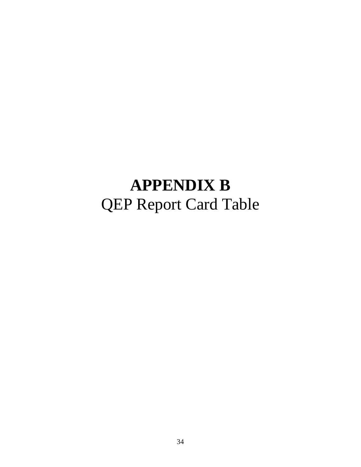# **APPENDIX B**  QEP Report Card Table